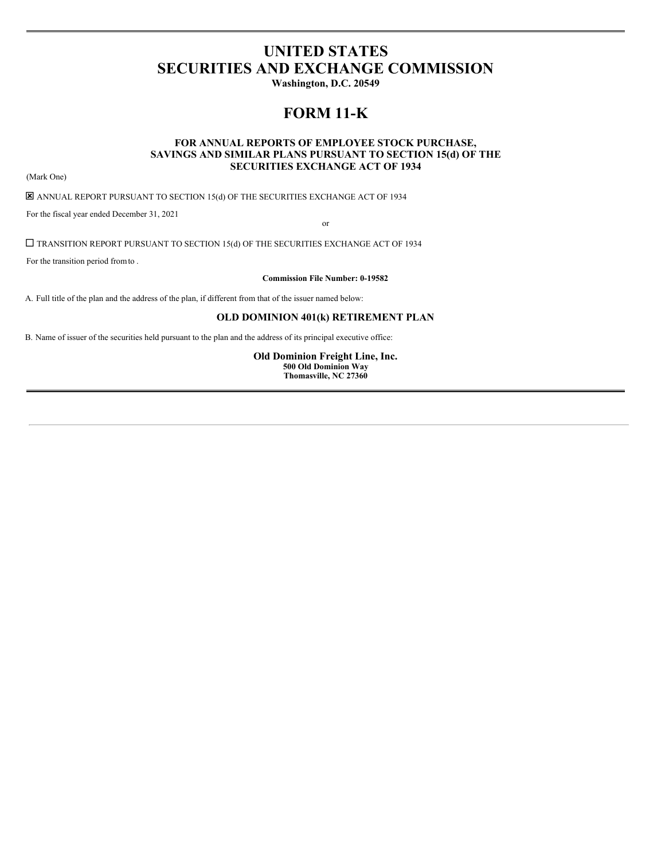# **UNITED STATES SECURITIES AND EXCHANGE COMMISSION**

**Washington, D.C. 20549**

# **FORM 11-K**

## **FOR ANNUAL REPORTS OF EMPLOYEE STOCK PURCHASE, SAVINGS AND SIMILAR PLANS PURSUANT TO SECTION 15(d) OF THE SECURITIES EXCHANGE ACT OF 1934**

(Mark One)

 $\boxtimes$  ANNUAL REPORT PURSUANT TO SECTION 15(d) OF THE SECURITIES EXCHANGE ACT OF 1934

For the fiscal year ended December 31, 2021

or

 $\Box$  TRANSITION REPORT PURSUANT TO SECTION 15(d) OF THE SECURITIES EXCHANGE ACT OF 1934

For the transition period fromto .

## **Commission File Number: 0-19582**

A. Full title of the plan and the address of the plan, if different from that of the issuer named below:

## **OLD DOMINION 401(k) RETIREMENT PLAN**

B. Name of issuer of the securities held pursuant to the plan and the address of its principal executive office:

## **Old Dominion Freight Line, Inc. 500 Old Dominion Way**

**Thomasville, NC 27360**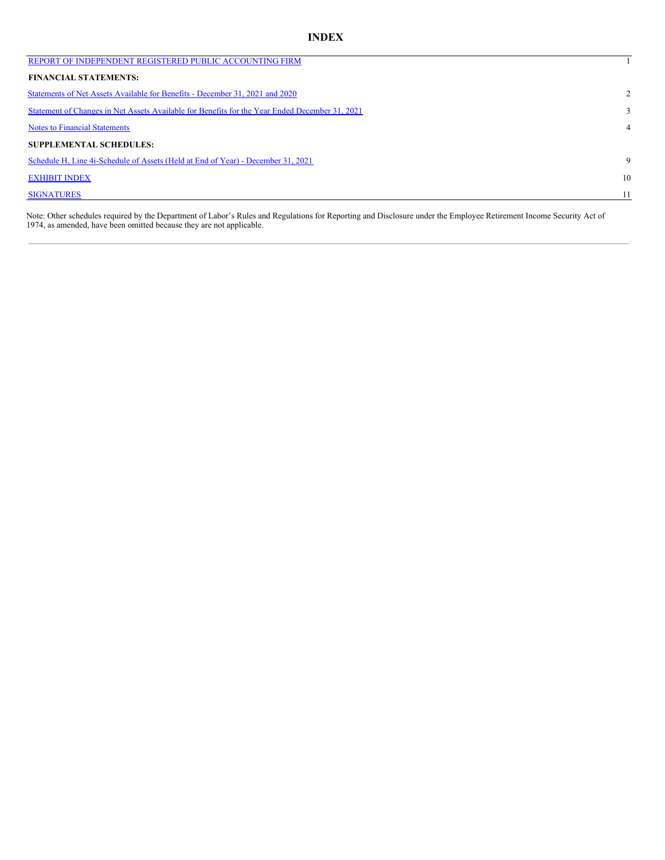| REPORT OF INDEPENDENT REGISTERED PUBLIC ACCOUNTING FIRM                                        |    |
|------------------------------------------------------------------------------------------------|----|
| <b>FINANCIAL STATEMENTS:</b>                                                                   |    |
| Statements of Net Assets Available for Benefits - December 31, 2021 and 2020                   | 2  |
| Statement of Changes in Net Assets Available for Benefits for the Year Ended December 31, 2021 | 3  |
| <b>Notes to Financial Statements</b>                                                           | 4  |
| <b>SUPPLEMENTAL SCHEDULES:</b>                                                                 |    |
| Schedule H, Line 4i-Schedule of Assets (Held at End of Year) - December 31, 2021               | 9  |
| <b>EXHIBIT INDEX</b>                                                                           | 10 |
| <b>SIGNATURES</b>                                                                              | 11 |

Note: Other schedules required by the Department of Labor's Rules and Regulations for Reporting and Disclosure under the Employee Retirement Income Security Act of 1974, as amended, have been omitted because they are not applicable.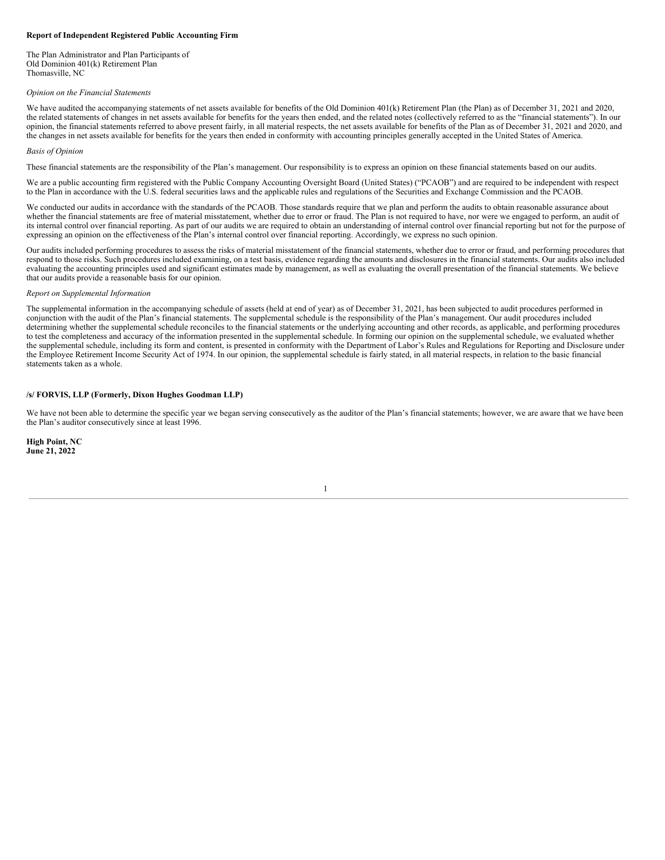## <span id="page-2-0"></span>**Report of Independent Registered Public Accounting Firm**

The Plan Administrator and Plan Participants of Old Dominion 401(k) Retirement Plan Thomasville, NC

#### *Opinion on the Financial Statements*

We have audited the accompanying statements of net assets available for benefits of the Old Dominion 401(k) Retirement Plan (the Plan) as of December 31, 2021 and 2020, the related statements of changes in net assets available for benefits for the years then ended, and the related notes (collectively referred to as the "financial statements"). In our opinion, the financial statements referred to above present fairly, in all material respects, the net assets available for benefits of the Plan as of December 31, 2021 and 2020, and the changes in net assets available for benefits for the years then ended in conformity with accounting principles generally accepted in the United States of America.

#### *Basis of Opinion*

These financial statements are the responsibility of the Plan's management. Our responsibility is to express an opinion on these financial statements based on our audits.

We are a public accounting firm registered with the Public Company Accounting Oversight Board (United States) ("PCAOB") and are required to be independent with respect to the Plan in accordance with the U.S. federal securities laws and the applicable rules and regulations of the Securities and Exchange Commission and the PCAOB.

We conducted our audits in accordance with the standards of the PCAOB. Those standards require that we plan and perform the audits to obtain reasonable assurance about whether the financial statements are free of material misstatement, whether due to error or fraud. The Plan is not required to have, nor were we engaged to perform, an audit of its internal control over financial reporting. As part of our audits we are required to obtain an understanding of internal control over financial reporting but not for the purpose of expressing an opinion on the effectiveness of the Plan's internal control over financial reporting. Accordingly, we express no such opinion.

Our audits included performing procedures to assess the risks of material misstatement of the financial statements, whether due to error or fraud, and performing procedures that respond to those risks. Such procedures included examining, on a test basis, evidence regarding the amounts and disclosures in the financial statements. Our audits also included evaluating the accounting principles used and significant estimates made by management, as well as evaluating the overall presentation of the financial statements. We believe that our audits provide a reasonable basis for our opinion.

## *Report on Supplemental Information*

The supplemental information in the accompanying schedule of assets (held at end of year) as of December 31, 2021, has been subjected to audit procedures performed in conjunction with the audit of the Plan's financial statements. The supplemental schedule is the responsibility of the Plan's management. Our audit procedures included determining whether the supplemental schedule reconciles to the financial statements or the underlying accounting and other records, as applicable, and performing procedures to test the completeness and accuracy of the information presented in the supplemental schedule. In forming our opinion on the supplemental schedule, we evaluated whether the supplemental schedule, including its form and content, is presented in conformity with the Department of Labor's Rules and Regulations for Reporting and Disclosure under the Employee Retirement Income Security Act of 1974. In our opinion, the supplemental schedule is fairly stated, in all material respects, in relation to the basic financial statements taken as a whole.

## **/s/ FORVIS, LLP (Formerly, Dixon Hughes Goodman LLP)**

We have not been able to determine the specific year we began serving consecutively as the auditor of the Plan's financial statements; however, we are aware that we have been the Plan's auditor consecutively since at least 1996.

**High Point, NC June 21, 2022**

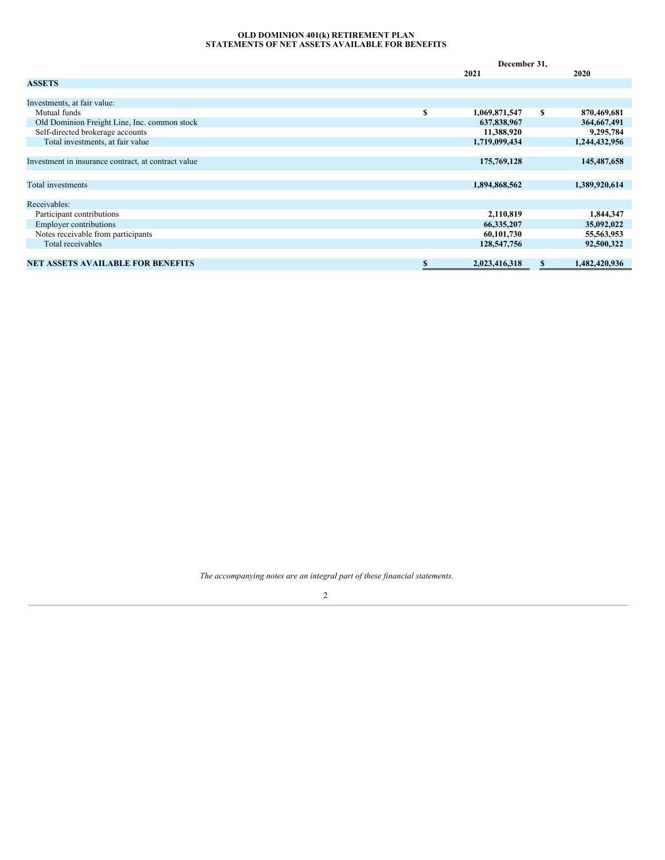### **OLD DOMINION 401(k) RETIREMENT PLAN STATEMENTS OF NET ASSETS AVAILABLE FOR BENEFITS**

<span id="page-3-0"></span>

|                                                     |              | December 31,  |               |               |
|-----------------------------------------------------|--------------|---------------|---------------|---------------|
|                                                     |              | 2021          |               | 2020          |
| <b>ASSETS</b>                                       |              |               |               |               |
|                                                     |              |               |               |               |
| Investments, at fair value:                         |              |               |               |               |
| Mutual funds                                        | $\mathbf{s}$ | 1,069,871,547 | \$            | 870,469,681   |
| Old Dominion Freight Line, Inc. common stock        |              | 637,838,967   |               | 364,667,491   |
| Self-directed brokerage accounts                    |              | 11,388,920    |               | 9,295,784     |
| Total investments, at fair value                    |              | 1,719,099,434 |               | 1,244,432,956 |
|                                                     |              |               |               |               |
| Investment in insurance contract, at contract value |              | 175,769,128   |               | 145, 487, 658 |
|                                                     |              |               |               |               |
| Total investments                                   |              | 1,894,868,562 |               | 1,389,920,614 |
|                                                     |              |               |               |               |
| Receivables:                                        |              |               |               |               |
| Participant contributions                           |              | 2,110,819     |               | 1,844,347     |
| Employer contributions                              |              | 66,335,207    |               | 35,092,022    |
| Notes receivable from participants                  |              | 60,101,730    |               | 55,563,953    |
| Total receivables                                   |              | 128,547,756   |               | 92,500,322    |
|                                                     |              |               |               |               |
| <b>NET ASSETS AVAILABLE FOR BENEFITS</b>            | \$           | 2,023,416,318 | <sup>\$</sup> | 1,482,420,936 |

*The accompanying notes are an integral part of these financial statements.*

| ł |   |  |
|---|---|--|
|   | I |  |
|   |   |  |
|   |   |  |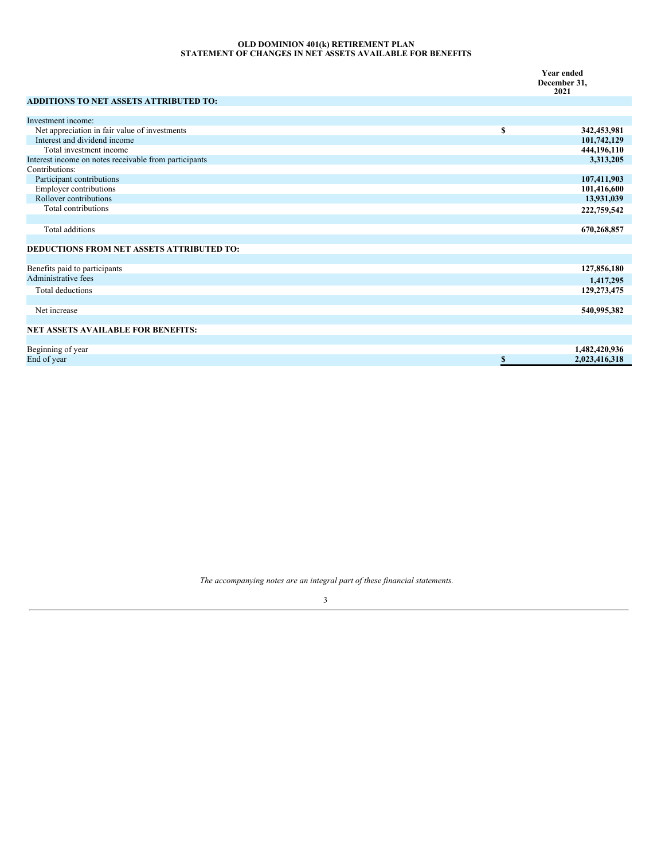## **OLD DOMINION 401(k) RETIREMENT PLAN STATEMENT OF CHANGES IN NET ASSETS AVAILABLE FOR BENEFITS**

<span id="page-4-0"></span>

|                                                       | <b>Year ended</b><br>December 31,<br>2021 |  |
|-------------------------------------------------------|-------------------------------------------|--|
| ADDITIONS TO NET ASSETS ATTRIBUTED TO:                |                                           |  |
| Investment income:                                    |                                           |  |
| Net appreciation in fair value of investments         | \$<br>342,453,981                         |  |
| Interest and dividend income                          | 101,742,129                               |  |
| Total investment income                               | 444,196,110                               |  |
| Interest income on notes receivable from participants | 3,313,205                                 |  |
| Contributions:                                        |                                           |  |
| Participant contributions                             | 107,411,903                               |  |
| Employer contributions                                | 101,416,600                               |  |
| Rollover contributions                                | 13,931,039                                |  |
| Total contributions                                   | 222,759,542                               |  |
|                                                       |                                           |  |
| <b>Total additions</b>                                | 670,268,857                               |  |
|                                                       |                                           |  |
| <b>DEDUCTIONS FROM NET ASSETS ATTRIBUTED TO:</b>      |                                           |  |
|                                                       |                                           |  |
| Benefits paid to participants                         | 127,856,180                               |  |
| Administrative fees                                   | 1,417,295                                 |  |
| Total deductions                                      | 129,273,475                               |  |
|                                                       |                                           |  |
| Net increase                                          | 540,995,382                               |  |
|                                                       |                                           |  |
| <b>NET ASSETS AVAILABLE FOR BENEFITS:</b>             |                                           |  |
|                                                       |                                           |  |
| Beginning of year                                     | 1,482,420,936                             |  |
| End of year                                           | \$<br>2.023.416.318                       |  |

*The accompanying notes are an integral part of these financial statements.*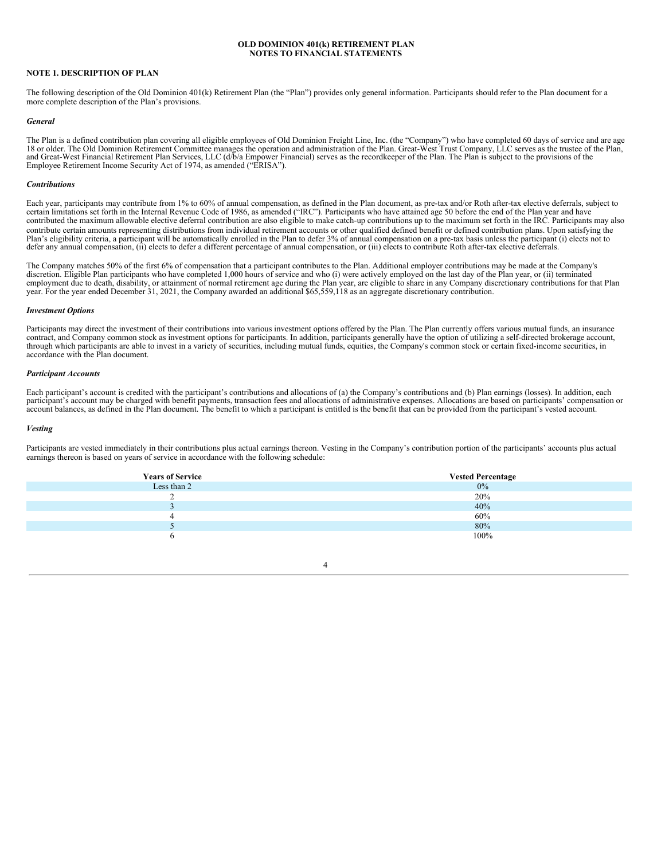#### **OLD DOMINION 401(k) RETIREMENT PLAN NOTES TO FINANCIAL STATEMENTS**

## <span id="page-5-0"></span>**NOTE 1. DESCRIPTION OF PLAN**

The following description of the Old Dominion 401(k) Retirement Plan (the "Plan") provides only general information. Participants should refer to the Plan document for a more complete description of the Plan's provisions.

#### *General*

The Plan is a defined contribution plan covering all eligible employees of Old Dominion Freight Line, Inc. (the "Company") who have completed 60 days of service and are age 18 or older. The Old Dominion Retirement Committee manages the operation and administration of the Plan. Great-West Trust Company, LLC serves as the trustee of the Plan, and Great-West Financial Retirement Plan Services, LLC (d/b/a Empower Financial) serves as the recordkeeper of the Plan. The Plan is subject to the provisions of the Employee Retirement Income Security Act of 1974, as amended ("ERISA").

#### *Contributions*

Each year, participants may contribute from 1% to 60% of annual compensation, as defined in the Plan document, as pre-tax and/or Roth after-tax elective deferrals, subject to certain limitations set forth in the Internal Revenue Code of 1986, as amended ("IRC"). Participants who have attained age 50 before the end of the Plan year and have contributed the maximum allowable elective deferral contribution are also eligible to make catch-up contributions up to the maximum set forth in the IRC. Participants may also contribute certain amounts representing distributions from individual retirement accounts or other qualified defined benefit or defined contribution plans. Upon satisfying the Plan's eligibility criteria, a participant will be automatically enrolled in the Plan to defer 3% of annual compensation on a pre-tax basis unless the participant (i) elects not to defer any annual compensation, (ii) elects to defer a different percentage of annual compensation, or (iii) elects to contribute Roth after-tax elective deferrals.

The Company matches 50% of the first 6% of compensation that a participant contributes to the Plan. Additional employer contributions may be made at the Company's discretion. Eligible Plan participants who have completed 1 employment due to death, disability, or attainment of normal retirement age during the Plan year, are eligible to share in any Company discretionary contributions for that Plan<br>year. For the year ended December 31, 2021, t

#### *Investment Options*

Participants may direct the investment of their contributions into various investment options offered by the Plan. The Plan currently offers various mutual funds, an insurance contract, and Company common stock as investment options for participants. In addition, participants generally have the option of utilizing a self-directed brokerage account, through which participants are able to invest in a variety of securities, including mutual funds, equities, the Company's common stock or certain fixed-income securities, in accordance with the Plan document.

#### *Participant Accounts*

Each participant's account is credited with the participant's contributions and allocations of (a) the Company's contributions and (b) Plan earnings (losses). In addition, each participant's account may be charged with benefit payments, transaction fees and allocations of administrative expenses. Allocations are based on participants' compensation or account balances, as defined in the Plan document. The benefit to which a participant is entitled is the benefit that can be provided from the participant's vested account.

#### *Vesting*

Participants are vested immediately in their contributions plus actual earnings thereon. Vesting in the Company's contribution portion of the participants' accounts plus actual earnings thereon is based on years of service in accordance with the following schedule:

| <b>Years of Service</b> | <b>Vested Percentage</b> |
|-------------------------|--------------------------|
| Less than 2             | $0\%$                    |
|                         | 20%                      |
|                         | 40%                      |
|                         | 60%                      |
|                         | 80%                      |
| o                       | 100%                     |
|                         |                          |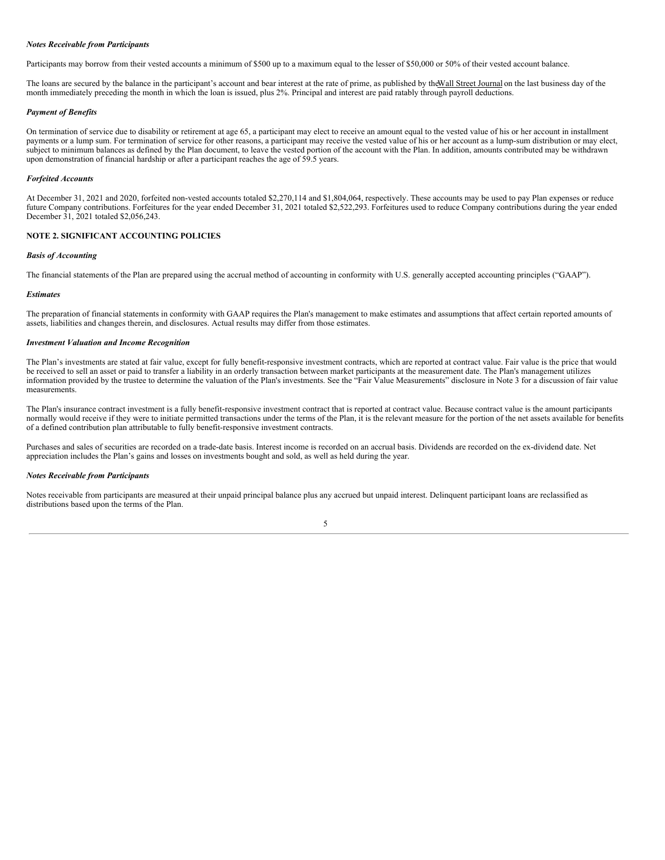#### *Notes Receivable from Participants*

Participants may borrow from their vested accounts a minimum of \$500 up to a maximum equal to the lesser of \$50,000 or 50% of their vested account balance.

The loans are secured by the balance in the participant's account and bear interest at the rate of prime, as published by theWall Street Journal on the last business day of the month immediately preceding the month in which the loan is issued, plus 2%. Principal and interest are paid ratably through payroll deductions.

## *Payment of Benefits*

On termination of service due to disability or retirement at age 65, a participant may elect to receive an amount equal to the vested value of his or her account in installment payments or a lump sum. For termination of service for other reasons, a participant may receive the vested value of his or her account as a lump-sum distribution or may elect, subject to minimum balances as defined by the Plan document, to leave the vested portion of the account with the Plan. In addition, amounts contributed may be withdrawn upon demonstration of financial hardship or after a participant reaches the age of 59.5 years.

#### *Forfeited Accounts*

At December 31, 2021 and 2020, forfeited non-vested accounts totaled \$2,270,114 and \$1,804,064, respectively. These accounts may be used to pay Plan expenses or reduce future Company contributions. Forfeitures for the year ended December 31, 2021 totaled \$2,522,293. Forfeitures used to reduce Company contributions during the year ended December 31, 2021 totaled \$2,056,243.

## **NOTE 2. SIGNIFICANT ACCOUNTING POLICIES**

## *Basis of Accounting*

The financial statements of the Plan are prepared using the accrual method of accounting in conformity with U.S. generally accepted accounting principles ("GAAP").

#### *Estimates*

The preparation of financial statements in conformity with GAAP requires the Plan's management to make estimates and assumptions that affect certain reported amounts of assets, liabilities and changes therein, and disclosures. Actual results may differ from those estimates.

#### *Investment Valuation and Income Recognition*

The Plan's investments are stated at fair value, except for fully benefit-responsive investment contracts, which are reported at contract value. Fair value is the price that would be received to sell an asset or paid to transfer a liability in an orderly transaction between market participants at the measurement date. The Plan's management utilizes information provided by the trustee to determine the valuation of the Plan's investments. See the "Fair Value Measurements" disclosure in Note 3 for a discussion of fair value measurements.

The Plan's insurance contract investment is a fully benefit-responsive investment contract that is reported at contract value. Because contract value is the amount participants normally would receive if they were to initiate permitted transactions under the terms of the Plan, it is the relevant measure for the portion of the net assets available for benefits of a defined contribution plan attributable to fully benefit-responsive investment contracts.

Purchases and sales of securities are recorded on a trade-date basis. Interest income is recorded on an accrual basis. Dividends are recorded on the ex-dividend date. Net appreciation includes the Plan's gains and losses on investments bought and sold, as well as held during the year.

## *Notes Receivable from Participants*

Notes receivable from participants are measured at their unpaid principal balance plus any accrued but unpaid interest. Delinquent participant loans are reclassified as distributions based upon the terms of the Plan.

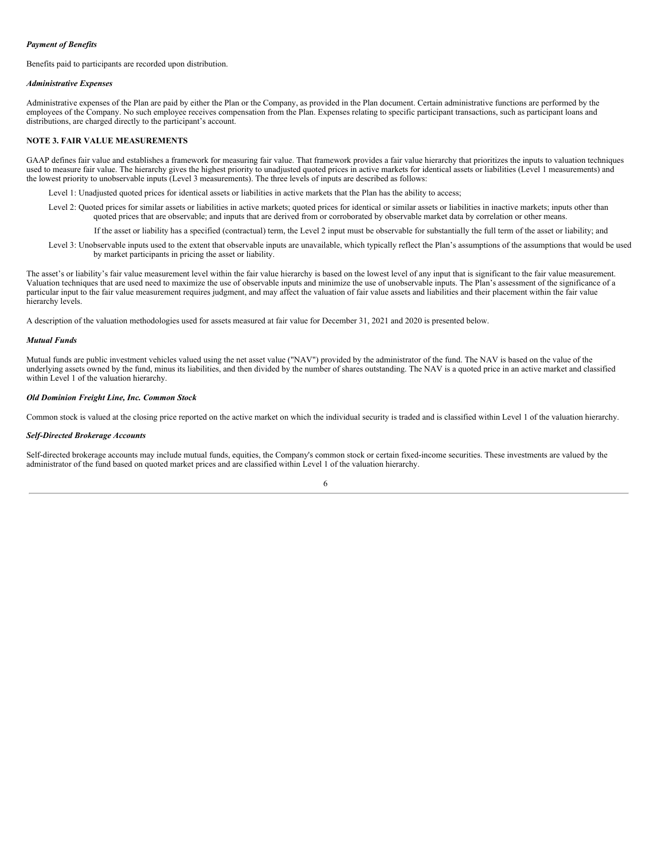## *Payment of Benefits*

Benefits paid to participants are recorded upon distribution.

#### *Administrative Expenses*

Administrative expenses of the Plan are paid by either the Plan or the Company, as provided in the Plan document. Certain administrative functions are performed by the employees of the Company. No such employee receives compensation from the Plan. Expenses relating to specific participant transactions, such as participant loans and distributions, are charged directly to the participant's account.

## **NOTE 3. FAIR VALUE MEASUREMENTS**

GAAP defines fair value and establishes a framework for measuring fair value. That framework provides a fair value hierarchy that prioritizes the inputs to valuation techniques used to measure fair value. The hierarchy gives the highest priority to unadjusted quoted prices in active markets for identical assets or liabilities (Level 1 measurements) and the lowest priority to unobservable inputs (Level 3 measurements). The three levels of inputs are described as follows:

Level 1: Unadjusted quoted prices for identical assets or liabilities in active markets that the Plan has the ability to access;

- Level 2: Quoted prices for similar assets or liabilities in active markets; quoted prices for identical or similar assets or liabilities in inactive markets; inputs other than quoted prices that are observable; and inputs that are derived from or corroborated by observable market data by correlation or other means.
	- If the asset or liability has a specified (contractual) term, the Level 2 input must be observable for substantially the full term of the asset or liability; and
- Level 3: Unobservable inputs used to the extent that observable inputs are unavailable, which typically reflect the Plan's assumptions of the assumptions that would be used by market participants in pricing the asset or liability.

The asset's or liability's fair value measurement level within the fair value hierarchy is based on the lowest level of any input that is significant to the fair value measurement. Valuation techniques that are used need to maximize the use of observable inputs and minimize the use of unobservable inputs. The Plan's assessment of the significance of a particular input to the fair value measurement requires judgment, and may affect the valuation of fair value assets and liabilities and their placement within the fair value hierarchy levels.

A description of the valuation methodologies used for assets measured at fair value for December 31, 2021 and 2020 is presented below.

#### *Mutual Funds*

Mutual funds are public investment vehicles valued using the net asset value ("NAV") provided by the administrator of the fund. The NAV is based on the value of the underlying assets owned by the fund, minus its liabilities, and then divided by the number of shares outstanding. The NAV is a quoted price in an active market and classified within Level 1 of the valuation hierarchy.

### *Old Dominion Freight Line, Inc. Common Stock*

Common stock is valued at the closing price reported on the active market on which the individual security is traded and is classified within Level 1 of the valuation hierarchy.

## *Self-Directed Brokerage Accounts*

Self-directed brokerage accounts may include mutual funds, equities, the Company's common stock or certain fixed-income securities. These investments are valued by the administrator of the fund based on quoted market prices and are classified within Level 1 of the valuation hierarchy.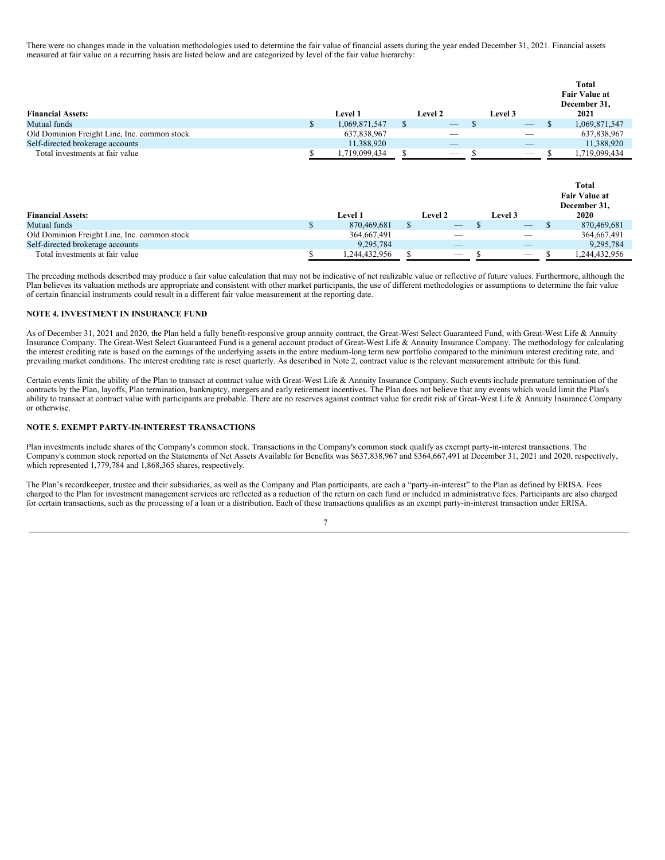There were no changes made in the valuation methodologies used to determine the fair value of financial assets during the year ended December 31, 2021. Financial assets measured at fair value on a recurring basis are listed below and are categorized by level of the fair value hierarchy:

| <b>Financial Assets:</b>                     |     | Level 1       |              | Level 2 |     | Level 3 |          | Total<br><b>Fair Value at</b><br>December 31,<br>2021 |
|----------------------------------------------|-----|---------------|--------------|---------|-----|---------|----------|-------------------------------------------------------|
| Mutual funds                                 | \$  | 1,069,871,547 | <sup>S</sup> |         | \$. |         | \$       | 1,069,871,547                                         |
| Old Dominion Freight Line, Inc. common stock |     | 637,838,967   |              |         |     |         |          | 637,838,967                                           |
| Self-directed brokerage accounts             |     | 11,388,920    |              | __      |     |         |          | 11,388,920                                            |
| Total investments at fair value              |     | 1,719,099,434 |              |         | S   |         | S        | 1,719,099,434                                         |
| <b>Financial Assets:</b>                     |     | Level 1       |              | Level 2 |     | Level 3 |          | Total<br><b>Fair Value at</b><br>December 31,<br>2020 |
| Mutual funds                                 | \$. | 870,469,681   | <sup>S</sup> | _       |     |         | <b>S</b> | 870,469,681                                           |
| Old Dominion Freight Line, Inc. common stock |     | 364,667,491   |              |         |     |         |          | 364,667,491                                           |
| Self-directed brokerage accounts             |     | 9,295,784     |              |         |     |         |          | 9,295,784                                             |

Total investments at fair value \$ 1,244,432,956 \$ — \$ — \$ 1,244,432,956

The preceding methods described may produce a fair value calculation that may not be indicative of net realizable value or reflective of future values. Furthermore, although the Plan believes its valuation methods are appropriate and consistent with other market participants, the use of different methodologies or assumptions to determine the fair value of certain financial instruments could result in a different fair value measurement at the reporting date.

### **NOTE 4. INVESTMENT IN INSURANCE FUND**

As of December 31, 2021 and 2020, the Plan held a fully benefit-responsive group annuity contract, the Great-West Select Guaranteed Fund, with Great-West Life & Annuity Insurance Company. The Great-West Select Guaranteed Fund is a general account product of Great-West Life & Annuity Insurance Company. The methodology for calculating the interest crediting rate is based on the earnings of the underlying assets in the entire medium-long term new portfolio compared to the minimum interest crediting rate, and prevailing market conditions. The interest crediting rate is reset quarterly. As described in Note 2, contract value is the relevant measurement attribute for this fund.

Certain events limit the ability of the Plan to transact at contract value with Great-West Life & Annuity Insurance Company. Such events include premature termination of the contracts by the Plan, layoffs, Plan termination, bankruptcy, mergers and early retirement incentives. The Plan does not believe that any events which would limit the Plan's ability to transact at contract value with participants are probable. There are no reserves against contract value for credit risk of Great-West Life & Annuity Insurance Company or otherwise.

## **NOTE 5. EXEMPT PARTY-IN-INTEREST TRANSACTIONS**

Plan investments include shares of the Company's common stock. Transactions in the Company's common stock qualify as exempt party-in-interest transactions. The Company's common stock reported on the Statements of Net Assets Available for Benefits was \$637,838,967 and \$364,667,491 at December 31, 2021 and 2020, respectively, which represented 1,779,784 and 1,868,365 shares, respectively.

The Plan's recordkeeper, trustee and their subsidiaries, as well as the Company and Plan participants, are each a "party-in-interest" to the Plan as defined by ERISA. Fees charged to the Plan for investment management services are reflected as a reduction of the return on each fund or included in administrative fees. Participants are also charged for certain transactions, such as the processing of a loan or a distribution. Each of these transactions qualifies as an exempt party-in-interest transaction under ERISA.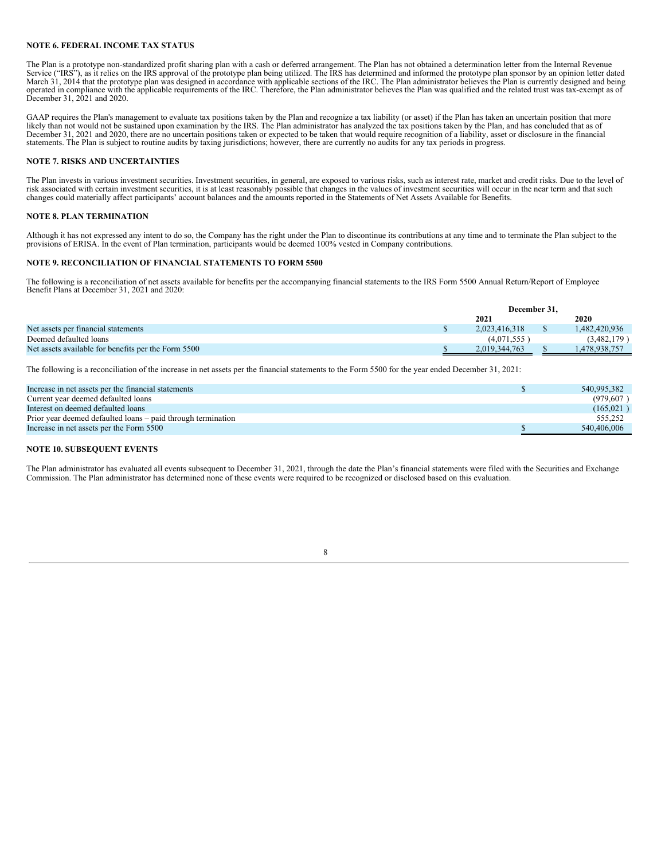## **NOTE 6. FEDERAL INCOME TAX STATUS**

The Plan is a prototype non-standardized profit sharing plan with a cash or deferred arrangement. The Plan has not obtained a determination letter from the Internal Revenue<br>Service ("IRS"), as it relies on the IRS approval March 31, 2014 that the prototype plan was designed in accordance with applicable sections of the IRC. The Plan administrator believes the Plan is currently designed and being operated in compliance with the applicable req

GAAP requires the Plan's management to evaluate tax positions taken by the Plan and recognize a tax liability (or asset) if the Plan has taken an uncertain position that more likely than not would not be sustained upon examination by the IRS. The Plan administrator has analyzed the tax positions taken by the Plan, and has concluded that as of December 31, 2021 and 2020, there are no uncertain positions taken or expected to be taken that would require recognition of a liability, asset or disclosure in the financial statements. The Plan is subject to routine audits by taxing jurisdictions; however, there are currently no audits for any tax periods in progress.

## **NOTE 7. RISKS AND UNCERTAINTIES**

The Plan invests in various investment securities. Investment securities, in general, are exposed to various risks, such as interest rate, market and credit risks. Due to the level of risk associated with certain investment securities, it is at least reasonably possible that changes in the values of investment securities will occur in the near term and that such changes could materially affect participants' account balances and the amounts reported in the Statements of Net Assets Available for Benefits.

## **NOTE 8. PLAN TERMINATION**

Although it has not expressed any intent to do so, the Company has the right under the Plan to discontinue its contributions at any time and to terminate the Plan subject to the provisions of ERISA. In the event of Plan termination, participants would be deemed 100% vested in Company contributions.

## **NOTE 9. RECONCILIATION OF FINANCIAL STATEMENTS TO FORM 5500**

The following is a reconciliation of net assets available for benefits per the accompanying financial statements to the IRS Form 5500 Annual Return/Report of Employee Benefit Plans at December 31, 2021 and 2020:

| December 31.  |  |               |
|---------------|--|---------------|
| 2021          |  | 2020          |
| 2.023.416.318 |  | 1.482.420.936 |
| (4.071.555)   |  | (3,482,179)   |
| 2,019,344,763 |  | 1,478,938,757 |
|               |  |               |

The following is a reconciliation of the increase in net assets per the financial statements to the Form 5500 for the year ended December 31, 2021:

|                                                              | 540,995,382 |
|--------------------------------------------------------------|-------------|
| Current year deemed defaulted loans                          | (979, 607)  |
| Interest on deemed defaulted loans                           | (165, 021)  |
| Prior year deemed defaulted loans – paid through termination | 555,252     |
| Increase in net assets per the Form 5500                     | 540,406,006 |

## **NOTE 10. SUBSEQUENT EVENTS**

The Plan administrator has evaluated all events subsequent to December 31, 2021, through the date the Plan's financial statements were filed with the Securities and Exchange Commission. The Plan administrator has determined none of these events were required to be recognized or disclosed based on this evaluation.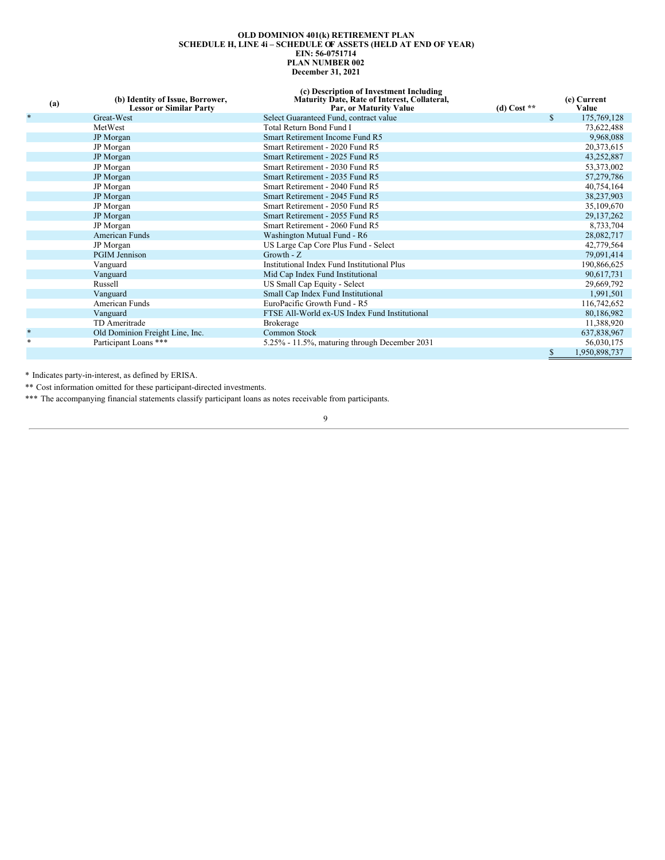#### **OLD DOMINION 401(k) RETIREMENT PLAN SCHEDULE H, LINE 4i – SCHEDULE OF ASSETS (HELD AT END OF YEAR) EIN: 56-0751714 PLAN NUMBER 002 December 31, 2021**

<span id="page-10-0"></span>

| (a)    | (b) Identity of Issue, Borrower,<br><b>Lessor or Similar Party</b> | (c) Description of Investment Including<br>Maturity Date, Rate of Interest, Collateral,<br>Par, or Maturity Value | (d) Cost $**$ | (e) Current<br>Value |
|--------|--------------------------------------------------------------------|-------------------------------------------------------------------------------------------------------------------|---------------|----------------------|
| $\ast$ | Great-West                                                         | Select Guaranteed Fund, contract value                                                                            | <sup>\$</sup> | 175,769,128          |
|        | MetWest                                                            | Total Return Bond Fund I                                                                                          |               | 73,622,488           |
|        | JP Morgan                                                          | Smart Retirement Income Fund R5                                                                                   |               | 9,968,088            |
|        | JP Morgan                                                          | Smart Retirement - 2020 Fund R5                                                                                   |               | 20,373,615           |
|        | JP Morgan                                                          | Smart Retirement - 2025 Fund R5                                                                                   |               | 43,252,887           |
|        | JP Morgan                                                          | Smart Retirement - 2030 Fund R5                                                                                   |               | 53,373,002           |
|        | JP Morgan                                                          | Smart Retirement - 2035 Fund R5                                                                                   |               | 57,279,786           |
|        | JP Morgan                                                          | Smart Retirement - 2040 Fund R5                                                                                   |               | 40,754,164           |
|        | JP Morgan                                                          | Smart Retirement - 2045 Fund R5                                                                                   |               | 38,237,903           |
|        | JP Morgan                                                          | Smart Retirement - 2050 Fund R5                                                                                   |               | 35,109,670           |
|        | JP Morgan                                                          | Smart Retirement - 2055 Fund R5                                                                                   |               | 29, 137, 262         |
|        | JP Morgan                                                          | Smart Retirement - 2060 Fund R5                                                                                   |               | 8,733,704            |
|        | American Funds                                                     | Washington Mutual Fund - R6                                                                                       |               | 28,082,717           |
|        | JP Morgan                                                          | US Large Cap Core Plus Fund - Select                                                                              |               | 42,779,564           |
|        | <b>PGIM Jennison</b>                                               | Growth - Z                                                                                                        |               | 79,091,414           |
|        | Vanguard                                                           | <b>Institutional Index Fund Institutional Plus</b>                                                                |               | 190,866,625          |
|        | Vanguard                                                           | Mid Cap Index Fund Institutional                                                                                  |               | 90,617,731           |
|        | Russell                                                            | US Small Cap Equity - Select                                                                                      |               | 29,669,792           |
|        | Vanguard                                                           | Small Cap Index Fund Institutional                                                                                |               | 1,991,501            |
|        | American Funds                                                     | EuroPacific Growth Fund - R5                                                                                      |               | 116,742,652          |
|        | Vanguard                                                           | FTSE All-World ex-US Index Fund Institutional                                                                     |               | 80,186,982           |
|        | TD Ameritrade                                                      | <b>Brokerage</b>                                                                                                  |               | 11,388,920           |
| $\ast$ | Old Dominion Freight Line, Inc.                                    | Common Stock                                                                                                      |               | 637,838,967          |
| $\ast$ | Participant Loans ***                                              | 5.25% - 11.5%, maturing through December 2031                                                                     |               | 56,030,175           |
|        |                                                                    |                                                                                                                   | \$            | 1,950,898,737        |

\* Indicates party-in-interest, as defined by ERISA.

\*\* Cost information omitted for these participant-directed investments.

\*\*\* The accompanying financial statements classify participant loans as notes receivable from participants.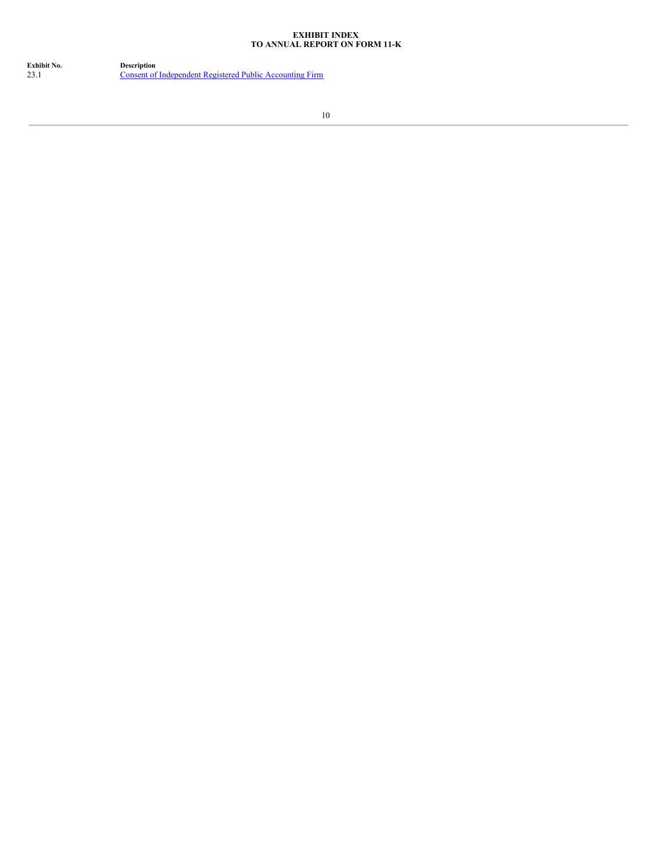#### **EXHIBIT INDEX TO ANNUAL REPORT ON FORM 11-K**

<span id="page-11-0"></span>

| Exhibit No. | <b>Description</b>                                       |
|-------------|----------------------------------------------------------|
| 23.1        | Consent of Independent Registered Public Accounting Firm |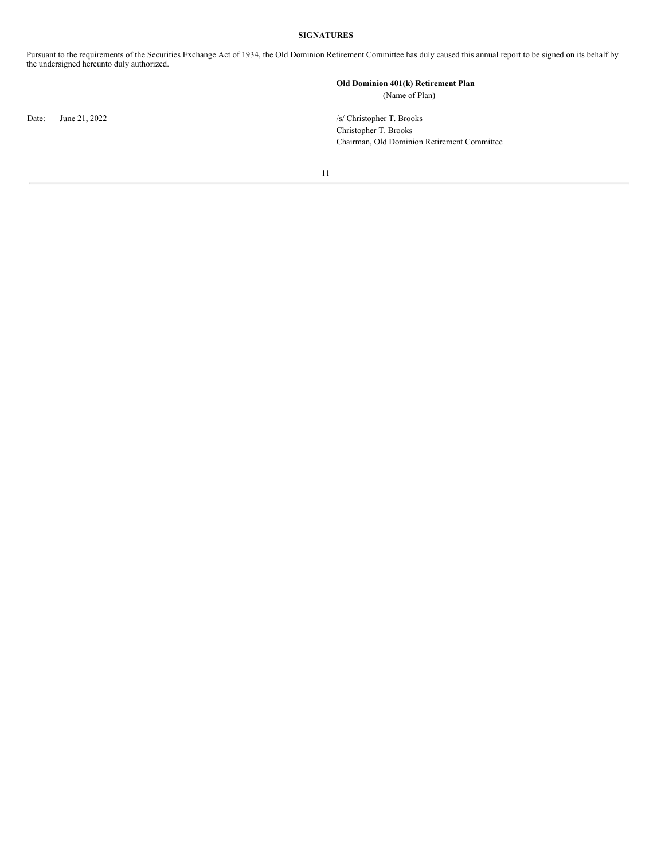## **SIGNATURES**

<span id="page-12-0"></span>Pursuant to the requirements of the Securities Exchange Act of 1934, the Old Dominion Retirement Committee has duly caused this annual report to be signed on its behalf by the undersigned hereunto duly authorized.

## **Old Dominion 401(k) Retirement Plan**

(Name of Plan)

Date: June 21, 2022 /s/ Christopher T. Brooks Christopher T. Brooks Chairman, Old Dominion Retirement Committee